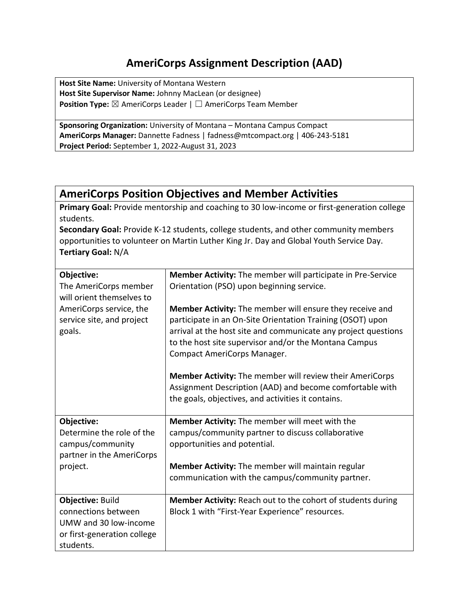## **AmeriCorps Assignment Description (AAD)**

**Host Site Name:** University of Montana Western **Host Site Supervisor Name:** Johnny MacLean (or designee) **Position Type:** ⊠ AmeriCorps Leader | □ AmeriCorps Team Member

**Sponsoring Organization:** University of Montana – Montana Campus Compact **AmeriCorps Manager:** Dannette Fadness | fadness@mtcompact.org | 406-243-5181 **Project Period:** September 1, 2022-August 31, 2023

## **AmeriCorps Position Objectives and Member Activities**

**Primary Goal:** Provide mentorship and coaching to 30 low-income or first-generation college students.

**Secondary Goal:** Provide K-12 students, college students, and other community members opportunities to volunteer on Martin Luther King Jr. Day and Global Youth Service Day. **Tertiary Goal:** N/A

| Objective:                                                     | <b>Member Activity:</b> The member will participate in Pre-Service                                                                                                                                                                                                                      |
|----------------------------------------------------------------|-----------------------------------------------------------------------------------------------------------------------------------------------------------------------------------------------------------------------------------------------------------------------------------------|
| The AmeriCorps member                                          | Orientation (PSO) upon beginning service.                                                                                                                                                                                                                                               |
| will orient themselves to                                      |                                                                                                                                                                                                                                                                                         |
| AmeriCorps service, the<br>service site, and project<br>goals. | <b>Member Activity:</b> The member will ensure they receive and<br>participate in an On-Site Orientation Training (OSOT) upon<br>arrival at the host site and communicate any project questions<br>to the host site supervisor and/or the Montana Campus<br>Compact AmeriCorps Manager. |
|                                                                | <b>Member Activity:</b> The member will review their AmeriCorps                                                                                                                                                                                                                         |
|                                                                | Assignment Description (AAD) and become comfortable with                                                                                                                                                                                                                                |
|                                                                | the goals, objectives, and activities it contains.                                                                                                                                                                                                                                      |
|                                                                |                                                                                                                                                                                                                                                                                         |
| Objective:                                                     | Member Activity: The member will meet with the                                                                                                                                                                                                                                          |
| Determine the role of the                                      | campus/community partner to discuss collaborative                                                                                                                                                                                                                                       |
| campus/community                                               | opportunities and potential.                                                                                                                                                                                                                                                            |
| partner in the AmeriCorps                                      |                                                                                                                                                                                                                                                                                         |
| project.                                                       | Member Activity: The member will maintain regular                                                                                                                                                                                                                                       |
|                                                                | communication with the campus/community partner.                                                                                                                                                                                                                                        |
|                                                                |                                                                                                                                                                                                                                                                                         |
| Objective: Build                                               | Member Activity: Reach out to the cohort of students during                                                                                                                                                                                                                             |
| connections between                                            | Block 1 with "First-Year Experience" resources.                                                                                                                                                                                                                                         |
| UMW and 30 low-income                                          |                                                                                                                                                                                                                                                                                         |
| or first-generation college                                    |                                                                                                                                                                                                                                                                                         |
| students.                                                      |                                                                                                                                                                                                                                                                                         |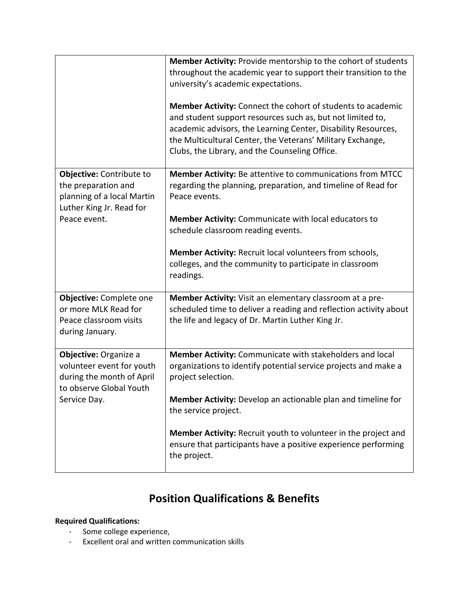|                                                                                                                            | <b>Member Activity: Provide mentorship to the cohort of students</b><br>throughout the academic year to support their transition to the<br>university's academic expectations.<br><b>Member Activity:</b> Connect the cohort of students to academic<br>and student support resources such as, but not limited to,<br>academic advisors, the Learning Center, Disability Resources,<br>the Multicultural Center, the Veterans' Military Exchange,<br>Clubs, the Library, and the Counseling Office. |
|----------------------------------------------------------------------------------------------------------------------------|-----------------------------------------------------------------------------------------------------------------------------------------------------------------------------------------------------------------------------------------------------------------------------------------------------------------------------------------------------------------------------------------------------------------------------------------------------------------------------------------------------|
| Objective: Contribute to<br>the preparation and<br>planning of a local Martin<br>Luther King Jr. Read for<br>Peace event.  | Member Activity: Be attentive to communications from MTCC<br>regarding the planning, preparation, and timeline of Read for<br>Peace events.<br>Member Activity: Communicate with local educators to<br>schedule classroom reading events.<br>Member Activity: Recruit local volunteers from schools,<br>colleges, and the community to participate in classroom<br>readings.                                                                                                                        |
| Objective: Complete one<br>or more MLK Read for<br>Peace classroom visits<br>during January.                               | Member Activity: Visit an elementary classroom at a pre-<br>scheduled time to deliver a reading and reflection activity about<br>the life and legacy of Dr. Martin Luther King Jr.                                                                                                                                                                                                                                                                                                                  |
| Objective: Organize a<br>volunteer event for youth<br>during the month of April<br>to observe Global Youth<br>Service Day. | Member Activity: Communicate with stakeholders and local<br>organizations to identify potential service projects and make a<br>project selection.<br>Member Activity: Develop an actionable plan and timeline for<br>the service project.                                                                                                                                                                                                                                                           |
|                                                                                                                            | Member Activity: Recruit youth to volunteer in the project and<br>ensure that participants have a positive experience performing<br>the project.                                                                                                                                                                                                                                                                                                                                                    |

# **Position Qualifications & Benefits**

### **Required Qualifications:**

- Some college experience,
- Excellent oral and written communication skills